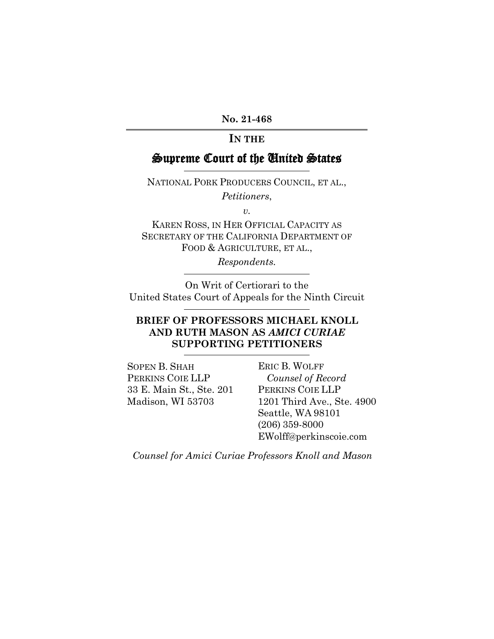**No. 21-468**

## **IN THE**

# Supreme Court of the United States

NATIONAL PORK PRODUCERS COUNCIL, ET AL., *Petitioners*,

*v.*

KAREN ROSS, IN HER OFFICIAL CAPACITY AS SECRETARY OF THE CALIFORNIA DEPARTMENT OF FOOD & AGRICULTURE, ET AL.,

*Respondents.*

On Writ of Certiorari to the United States Court of Appeals for the Ninth Circuit

## **BRIEF OF PROFESSORS MICHAEL KNOLL AND RUTH MASON AS** *AMICI CURIAE* **SUPPORTING PETITIONERS**

SOPEN B. SHAH PERKINS COIE LLP 33 E. Main St., Ste. 201 Madison, WI 53703

ERIC B. WOLFF *Counsel of Record* PERKINS COIE LLP 1201 Third Ave., Ste. 4900 Seattle, WA 98101 (206) 359-8000 EWolff@perkinscoie.com

*Counsel for Amici Curiae Professors Knoll and Mason*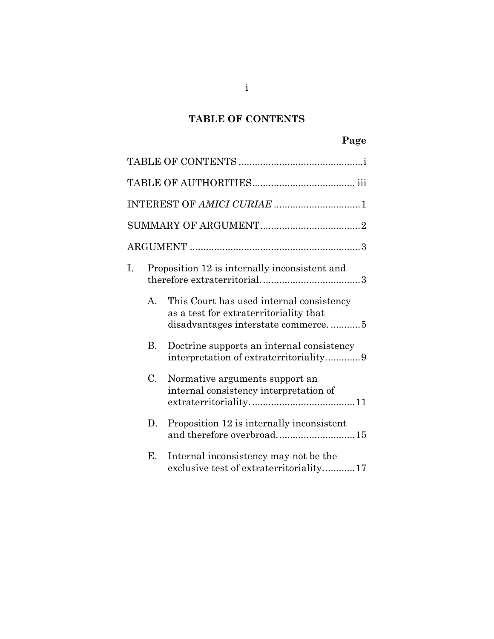# **TABLE OF CONTENTS**

| I. |              | Proposition 12 is internally inconsistent and                                                                            |
|----|--------------|--------------------------------------------------------------------------------------------------------------------------|
|    | $\mathsf{A}$ | This Court has used internal consistency<br>as a test for extraterritoriality that<br>disadvantages interstate commerce5 |
|    | B.           | Doctrine supports an internal consistency                                                                                |
|    | $C_{\cdot}$  | Normative arguments support an<br>internal consistency interpretation of                                                 |
|    | D.           | Proposition 12 is internally inconsistent<br>and therefore overbroad15                                                   |
|    | E.           | Internal inconsistency may not be the<br>exclusive test of extraterritoriality17                                         |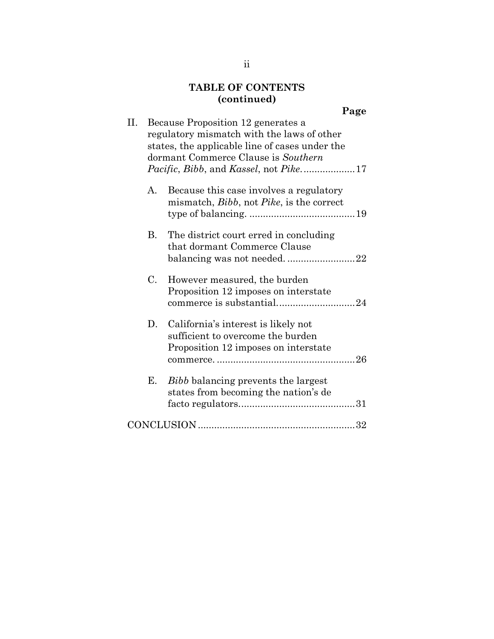# **TABLE OF CONTENTS (continued)**

| Н. |    | Because Proposition 12 generates a<br>regulatory mismatch with the laws of other<br>states, the applicable line of cases under the<br>dormant Commerce Clause is Southern |
|----|----|---------------------------------------------------------------------------------------------------------------------------------------------------------------------------|
|    | A. | Because this case involves a regulatory<br>mismatch, Bibb, not Pike, is the correct                                                                                       |
|    | В. | The district court erred in concluding<br>that dormant Commerce Clause<br>balancing was not needed22                                                                      |
|    | C. | However measured, the burden<br>Proposition 12 imposes on interstate                                                                                                      |
|    | D. | California's interest is likely not<br>sufficient to overcome the burden<br>Proposition 12 imposes on interstate                                                          |
|    | Е. | <i>Bibb</i> balancing prevents the largest<br>states from becoming the nation's de                                                                                        |
|    |    |                                                                                                                                                                           |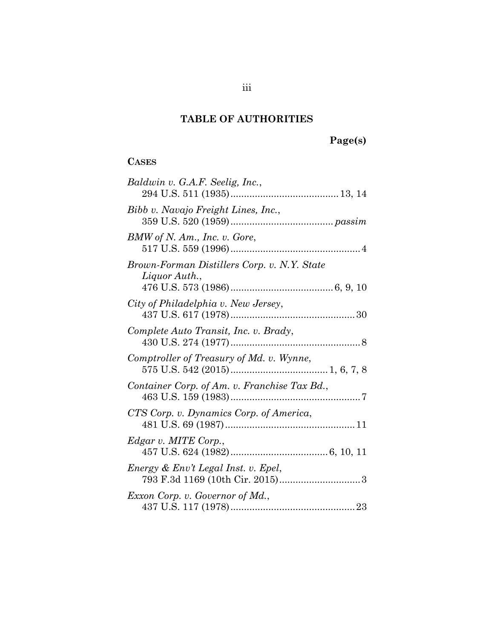# **TABLE OF AUTHORITIES**

# **Page(s)**

# **CASES**

| Baldwin v. G.A.F. Seelig, Inc.,                              |
|--------------------------------------------------------------|
| Bibb v. Navajo Freight Lines, Inc.,                          |
| BMW of N. Am., Inc. v. Gore,                                 |
| Brown-Forman Distillers Corp. v. N.Y. State<br>Liquor Auth., |
| City of Philadelphia v. New Jersey,                          |
| Complete Auto Transit, Inc. v. Brady,                        |
| Comptroller of Treasury of Md. v. Wynne,                     |
| Container Corp. of Am. v. Franchise Tax Bd.,                 |
| CTS Corp. v. Dynamics Corp. of America,                      |
| Edgar v. MITE Corp.,                                         |
| Energy & Env't Legal Inst. v. Epel,                          |
| Exxon Corp. v. Governor of Md.,                              |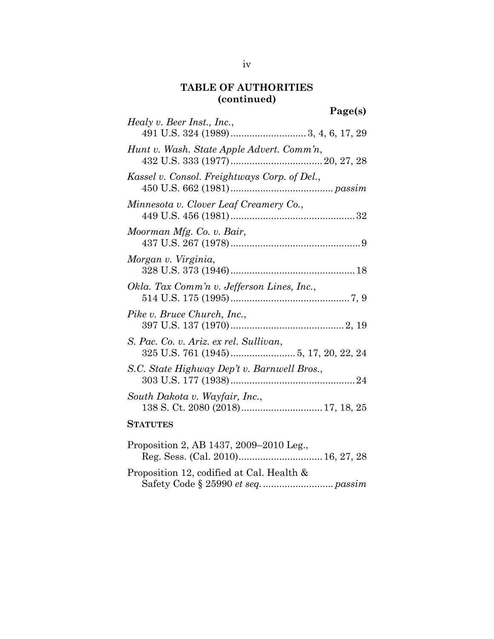# **TABLE OF AUTHORITIES (continued)**

| Page(s)                                      |
|----------------------------------------------|
| Healy v. Beer Inst., Inc.,                   |
|                                              |
| Hunt v. Wash. State Apple Advert. Comm'n,    |
|                                              |
| Kassel v. Consol. Freightways Corp. of Del., |
|                                              |
| Minnesota v. Clover Leaf Creamery Co.,       |
|                                              |
| Moorman Mfg. Co. v. Bair,                    |
|                                              |
| Morgan v. Virginia,                          |
|                                              |
| Okla. Tax Comm'n v. Jefferson Lines, Inc.,   |
|                                              |
| Pike v. Bruce Church, Inc.,                  |
|                                              |
| S. Pac. Co. v. Ariz. ex rel. Sullivan,       |
|                                              |
| S.C. State Highway Dep't v. Barnwell Bros.,  |
|                                              |
| South Dakota v. Wayfair, Inc.,               |
| 138 S. Ct. 2080 (2018) 17, 18, 25            |
| <b>STATUTES</b>                              |
| Proposition 2, AB 1437, 2009-2010 Leg.,      |

| Proposition 12, codified at Cal. Health & |  |
|-------------------------------------------|--|
|                                           |  |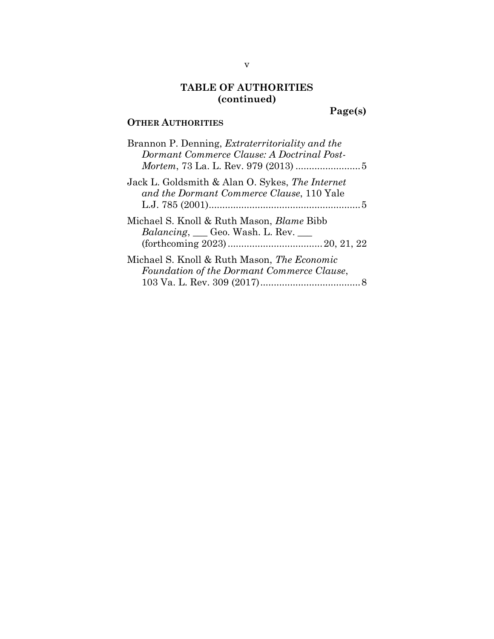# **TABLE OF AUTHORITIES (continued)**

**Page(s)**

# **OTHER AUTHORITIES**

| Brannon P. Denning, <i>Extraterritoriality and the</i><br>Dormant Commerce Clause: A Doctrinal Post-            |
|-----------------------------------------------------------------------------------------------------------------|
| Jack L. Goldsmith & Alan O. Sykes, The Internet<br>and the Dormant Commerce Clause, 110 Yale                    |
| Michael S. Knoll & Ruth Mason, <i>Blame</i> Bibb<br><i>Balancing</i> , <i>___</i> Geo. Wash. L. Rev. <i>___</i> |
| Michael S. Knoll & Ruth Mason, The Economic<br>Foundation of the Dormant Commerce Clause,                       |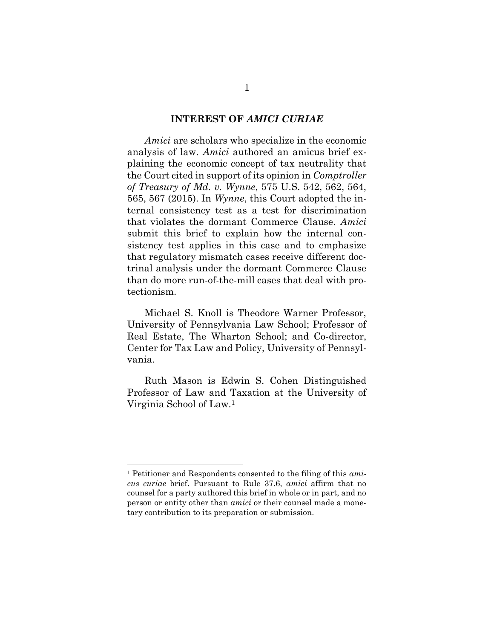#### <span id="page-6-0"></span>**INTEREST OF** *AMICI CURIAE*

*Amici* are scholars who specialize in the economic analysis of law. *Amici* authored an amicus brief explaining the economic concept of tax neutrality that the Court cited in support of its opinion in *Comptroller of Treasury of Md. v. Wynne*, 575 U.S. 542, 562, 564, 565, 567 (2015). In *Wynne*, this Court adopted the internal consistency test as a test for discrimination that violates the dormant Commerce Clause. *Amici* submit this brief to explain how the internal consistency test applies in this case and to emphasize that regulatory mismatch cases receive different doctrinal analysis under the dormant Commerce Clause than do more run-of-the-mill cases that deal with protectionism.

Michael S. Knoll is Theodore Warner Professor, University of Pennsylvania Law School; Professor of Real Estate, The Wharton School; and Co-director, Center for Tax Law and Policy, University of Pennsylvania.

Ruth Mason is Edwin S. Cohen Distinguished Professor of Law and Taxation at the University of Virginia School of Law.<sup>1</sup>

<sup>1</sup> Petitioner and Respondents consented to the filing of this *amicus curiae* brief. Pursuant to Rule 37.6, *amici* affirm that no counsel for a party authored this brief in whole or in part, and no person or entity other than *amici* or their counsel made a monetary contribution to its preparation or submission.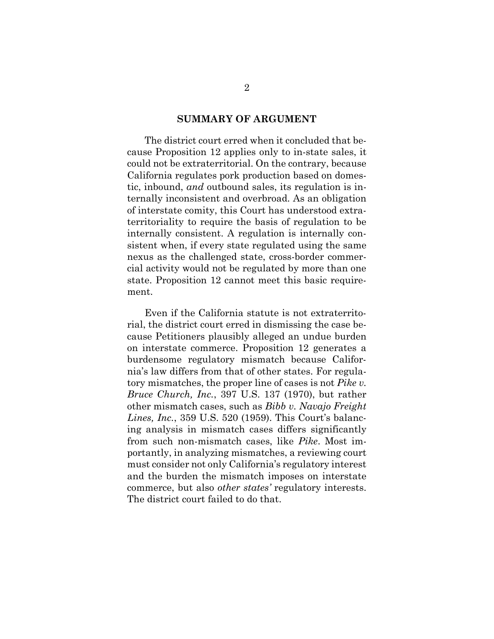#### **SUMMARY OF ARGUMENT**

<span id="page-7-2"></span>The district court erred when it concluded that because Proposition 12 applies only to in-state sales, it could not be extraterritorial. On the contrary, because California regulates pork production based on domestic, inbound, *and* outbound sales, its regulation is internally inconsistent and overbroad. As an obligation of interstate comity, this Court has understood extraterritoriality to require the basis of regulation to be internally consistent. A regulation is internally consistent when, if every state regulated using the same nexus as the challenged state, cross-border commercial activity would not be regulated by more than one state. Proposition 12 cannot meet this basic requirement.

<span id="page-7-1"></span><span id="page-7-0"></span>Even if the California statute is not extraterritorial, the district court erred in dismissing the case because Petitioners plausibly alleged an undue burden on interstate commerce. Proposition 12 generates a burdensome regulatory mismatch because California's law differs from that of other states. For regulatory mismatches, the proper line of cases is not *Pike v. Bruce Church, Inc.*, 397 U.S. 137 (1970), but rather other mismatch cases, such as *Bibb v. Navajo Freight Lines, Inc.*, 359 U.S. 520 (1959). This Court's balancing analysis in mismatch cases differs significantly from such non-mismatch cases, like *Pike*. Most importantly, in analyzing mismatches, a reviewing court must consider not only California's regulatory interest and the burden the mismatch imposes on interstate commerce, but also *other states'* regulatory interests. The district court failed to do that.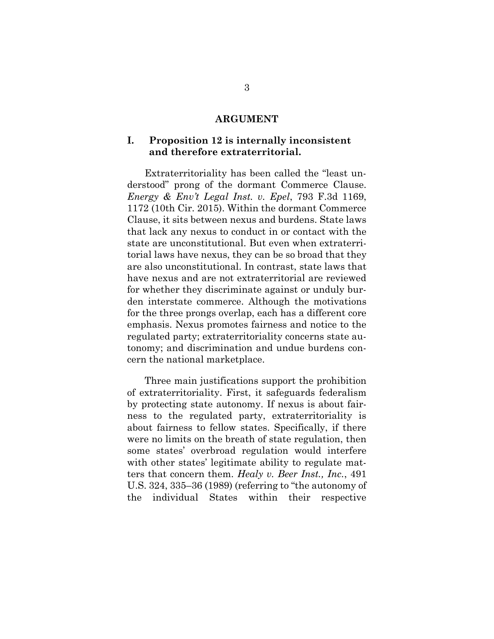#### **ARGUMENT**

### **I. Proposition 12 is internally inconsistent and therefore extraterritorial.**

<span id="page-8-0"></span>Extraterritoriality has been called the "least understood" prong of the dormant Commerce Clause. *Energy & Env't Legal Inst. v. Epel*, 793 F.3d 1169, 1172 (10th Cir. 2015). Within the dormant Commerce Clause, it sits between nexus and burdens. State laws that lack any nexus to conduct in or contact with the state are unconstitutional. But even when extraterritorial laws have nexus, they can be so broad that they are also unconstitutional. In contrast, state laws that have nexus and are not extraterritorial are reviewed for whether they discriminate against or unduly burden interstate commerce. Although the motivations for the three prongs overlap, each has a different core emphasis. Nexus promotes fairness and notice to the regulated party; extraterritoriality concerns state autonomy; and discrimination and undue burdens concern the national marketplace.

<span id="page-8-1"></span>Three main justifications support the prohibition of extraterritoriality. First, it safeguards federalism by protecting state autonomy. If nexus is about fairness to the regulated party, extraterritoriality is about fairness to fellow states. Specifically, if there were no limits on the breath of state regulation, then some states' overbroad regulation would interfere with other states' legitimate ability to regulate matters that concern them. *Healy v. Beer Inst., Inc.*, 491 U.S. 324, 335–36 (1989) (referring to "the autonomy of the individual States within their respective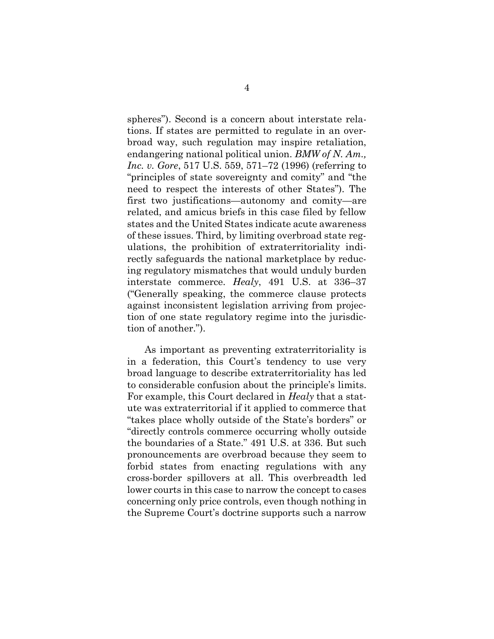<span id="page-9-0"></span>spheres"). Second is a concern about interstate relations. If states are permitted to regulate in an overbroad way, such regulation may inspire retaliation, endangering national political union. *BMW of N. Am., Inc. v. Gore*, 517 U.S. 559, 571–72 (1996) (referring to "principles of state sovereignty and comity" and "the need to respect the interests of other States"). The first two justifications—autonomy and comity—are related, and amicus briefs in this case filed by fellow states and the United States indicate acute awareness of these issues. Third, by limiting overbroad state regulations, the prohibition of extraterritoriality indirectly safeguards the national marketplace by reducing regulatory mismatches that would unduly burden interstate commerce. *Healy*, 491 U.S. at 336–37 ("Generally speaking, the commerce clause protects against inconsistent legislation arriving from projection of one state regulatory regime into the jurisdiction of another.").

As important as preventing extraterritoriality is in a federation, this Court's tendency to use very broad language to describe extraterritoriality has led to considerable confusion about the principle's limits. For example, this Court declared in *Healy* that a statute was extraterritorial if it applied to commerce that "takes place wholly outside of the State's borders" or "directly controls commerce occurring wholly outside the boundaries of a State." 491 U.S. at 336. But such pronouncements are overbroad because they seem to forbid states from enacting regulations with any cross-border spillovers at all. This overbreadth led lower courts in this case to narrow the concept to cases concerning only price controls, even though nothing in the Supreme Court's doctrine supports such a narrow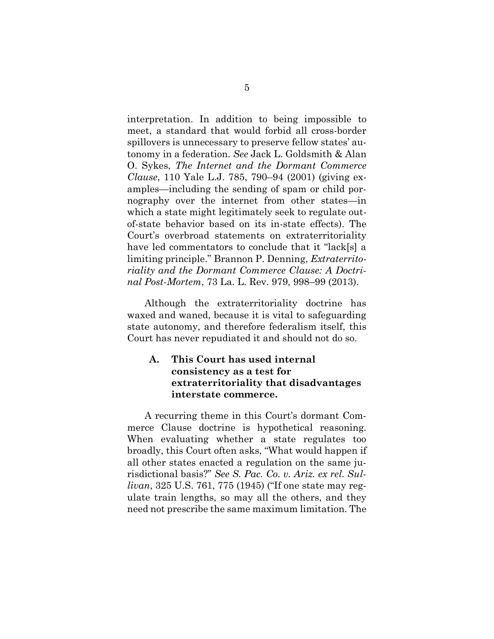<span id="page-10-1"></span>interpretation. In addition to being impossible to meet, a standard that would forbid all cross-border spillovers is unnecessary to preserve fellow states' autonomy in a federation. *See* Jack L. Goldsmith & Alan O. Sykes, *The Internet and the Dormant Commerce Clause*, 110 Yale L.J. 785, 790–94 (2001) (giving examples—including the sending of spam or child pornography over the internet from other states—in which a state might legitimately seek to regulate outof-state behavior based on its in-state effects). The Court's overbroad statements on extraterritoriality have led commentators to conclude that it "lack[s] a limiting principle." Brannon P. Denning, *Extraterritoriality and the Dormant Commerce Clause: A Doctrinal Post-Mortem*, 73 La. L. Rev. 979, 998–99 (2013).

<span id="page-10-0"></span>Although the extraterritoriality doctrine has waxed and waned, because it is vital to safeguarding state autonomy, and therefore federalism itself, this Court has never repudiated it and should not do so.

### **A. This Court has used internal consistency as a test for extraterritoriality that disadvantages interstate commerce.**

A recurring theme in this Court's dormant Commerce Clause doctrine is hypothetical reasoning. When evaluating whether a state regulates too broadly, this Court often asks, "What would happen if all other states enacted a regulation on the same jurisdictional basis?" *See S. Pac. Co. v. Ariz. ex rel. Sullivan*, 325 U.S. 761, 775 (1945) ("If one state may regulate train lengths, so may all the others, and they need not prescribe the same maximum limitation. The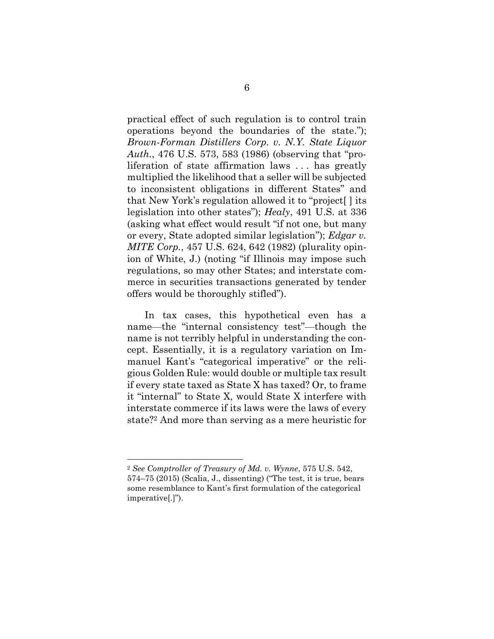<span id="page-11-0"></span>practical effect of such regulation is to control train operations beyond the boundaries of the state."); *Brown-Forman Distillers Corp. v. N.Y. State Liquor Auth.*, 476 U.S. 573, 583 (1986) (observing that "proliferation of state affirmation laws . . . has greatly multiplied the likelihood that a seller will be subjected to inconsistent obligations in different States" and that New York's regulation allowed it to "project[ ] its legislation into other states"); *Healy*, 491 U.S. at 336 (asking what effect would result "if not one, but many or every, State adopted similar legislation"); *Edgar v. MITE Corp.*, 457 U.S. 624, 642 (1982) (plurality opinion of White, J.) (noting "if Illinois may impose such regulations, so may other States; and interstate commerce in securities transactions generated by tender offers would be thoroughly stifled").

<span id="page-11-2"></span>In tax cases, this hypothetical even has a name—the "internal consistency test"—though the name is not terribly helpful in understanding the concept. Essentially, it is a regulatory variation on Immanuel Kant's "categorical imperative" or the religious Golden Rule: would double or multiple tax result if every state taxed as State X has taxed? Or, to frame it "internal" to State X, would State X interfere with interstate commerce if its laws were the laws of every state?<sup>2</sup> And more than serving as a mere heuristic for

<span id="page-11-1"></span><sup>2</sup> *See Comptroller of Treasury of Md. v. Wynne*, 575 U.S. 542, 574–75 (2015) (Scalia, J., dissenting) ("The test, it is true, bears some resemblance to Kant's first formulation of the categorical imperative[.]").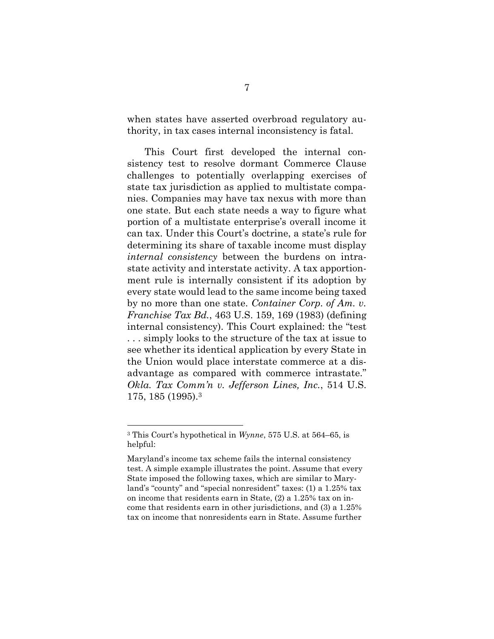when states have asserted overbroad regulatory authority, in tax cases internal inconsistency is fatal.

This Court first developed the internal consistency test to resolve dormant Commerce Clause challenges to potentially overlapping exercises of state tax jurisdiction as applied to multistate companies. Companies may have tax nexus with more than one state. But each state needs a way to figure what portion of a multistate enterprise's overall income it can tax. Under this Court's doctrine, a state's rule for determining its share of taxable income must display *internal consistency* between the burdens on intrastate activity and interstate activity. A tax apportionment rule is internally consistent if its adoption by every state would lead to the same income being taxed by no more than one state. *Container Corp. of Am. v. Franchise Tax Bd.*, 463 U.S. 159, 169 (1983) (defining internal consistency). This Court explained: the "test . . . simply looks to the structure of the tax at issue to see whether its identical application by every State in the Union would place interstate commerce at a disadvantage as compared with commerce intrastate." *Okla. Tax Comm'n v. Jefferson Lines, Inc.*, 514 U.S. 175, 185 (1995).<sup>3</sup>

<span id="page-12-1"></span><span id="page-12-0"></span><sup>3</sup> This Court's hypothetical in *Wynne*, 575 U.S. at 564–65, is helpful:

Maryland's income tax scheme fails the internal consistency test. A simple example illustrates the point. Assume that every State imposed the following taxes, which are similar to Maryland's "county" and "special nonresident" taxes: (1) a 1.25% tax on income that residents earn in State, (2) a 1.25% tax on income that residents earn in other jurisdictions, and (3) a 1.25% tax on income that nonresidents earn in State. Assume further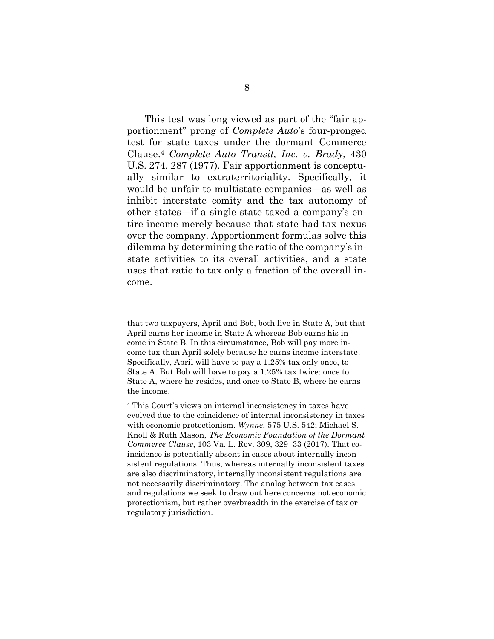<span id="page-13-0"></span>This test was long viewed as part of the "fair apportionment" prong of *Complete Auto*'s four-pronged test for state taxes under the dormant Commerce Clause. <sup>4</sup> *Complete Auto Transit, Inc. v. Brady*, 430 U.S. 274, 287 (1977). Fair apportionment is conceptually similar to extraterritoriality. Specifically, it would be unfair to multistate companies—as well as inhibit interstate comity and the tax autonomy of other states—if a single state taxed a company's entire income merely because that state had tax nexus over the company. Apportionment formulas solve this dilemma by determining the ratio of the company's instate activities to its overall activities, and a state uses that ratio to tax only a fraction of the overall income.

that two taxpayers, April and Bob, both live in State A, but that April earns her income in State A whereas Bob earns his income in State B. In this circumstance, Bob will pay more income tax than April solely because he earns income interstate. Specifically, April will have to pay a 1.25% tax only once, to State A. But Bob will have to pay a 1.25% tax twice: once to State A, where he resides, and once to State B, where he earns the income.

<span id="page-13-1"></span><sup>4</sup> This Court's views on internal inconsistency in taxes have evolved due to the coincidence of internal inconsistency in taxes with economic protectionism. *Wynne*, 575 U.S. 542; Michael S. Knoll & Ruth Mason, *The Economic Foundation of the Dormant Commerce Clause*, 103 Va. L. Rev. 309, 329–33 (2017). That coincidence is potentially absent in cases about internally inconsistent regulations. Thus, whereas internally inconsistent taxes are also discriminatory, internally inconsistent regulations are not necessarily discriminatory. The analog between tax cases and regulations we seek to draw out here concerns not economic protectionism, but rather overbreadth in the exercise of tax or regulatory jurisdiction.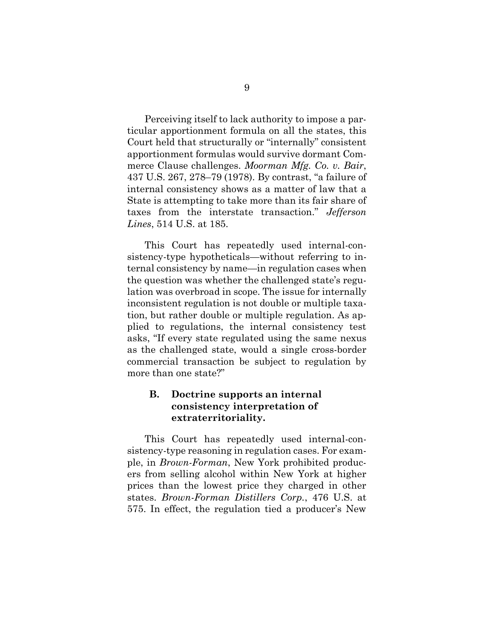<span id="page-14-1"></span>Perceiving itself to lack authority to impose a particular apportionment formula on all the states, this Court held that structurally or "internally" consistent apportionment formulas would survive dormant Commerce Clause challenges. *Moorman Mfg. Co. v. Bair*, 437 U.S. 267, 278–79 (1978). By contrast, "a failure of internal consistency shows as a matter of law that a State is attempting to take more than its fair share of taxes from the interstate transaction." *Jefferson Lines*, 514 U.S. at 185.

<span id="page-14-2"></span>This Court has repeatedly used internal-consistency-type hypotheticals—without referring to internal consistency by name—in regulation cases when the question was whether the challenged state's regulation was overbroad in scope. The issue for internally inconsistent regulation is not double or multiple taxation, but rather double or multiple regulation. As applied to regulations, the internal consistency test asks, "If every state regulated using the same nexus as the challenged state, would a single cross-border commercial transaction be subject to regulation by more than one state?"

### **B. Doctrine supports an internal consistency interpretation of extraterritoriality.**

<span id="page-14-0"></span>This Court has repeatedly used internal-consistency-type reasoning in regulation cases. For example, in *Brown-Forman*, New York prohibited producers from selling alcohol within New York at higher prices than the lowest price they charged in other states. *Brown-Forman Distillers Corp.*, 476 U.S. at 575. In effect, the regulation tied a producer's New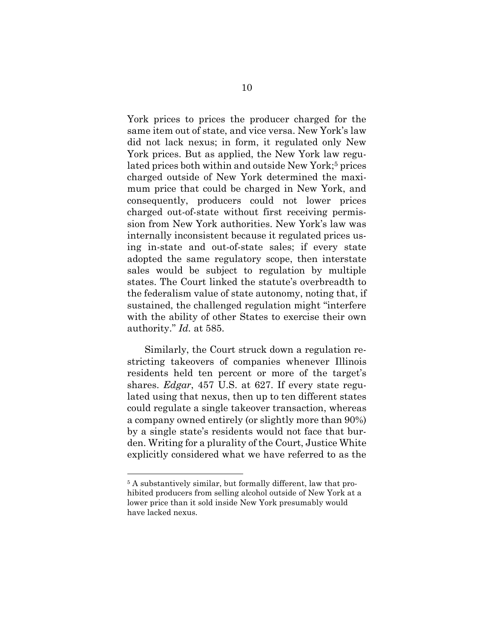York prices to prices the producer charged for the same item out of state, and vice versa. New York's law did not lack nexus; in form, it regulated only New York prices. But as applied, the New York law regulated prices both within and outside New York;<sup>5</sup> prices charged outside of New York determined the maximum price that could be charged in New York, and consequently, producers could not lower prices charged out-of-state without first receiving permission from New York authorities. New York's law was internally inconsistent because it regulated prices using in-state and out-of-state sales; if every state adopted the same regulatory scope, then interstate sales would be subject to regulation by multiple states. The Court linked the statute's overbreadth to the federalism value of state autonomy, noting that, if sustained, the challenged regulation might "interfere with the ability of other States to exercise their own authority." *Id.* at 585.

<span id="page-15-1"></span><span id="page-15-0"></span>Similarly, the Court struck down a regulation restricting takeovers of companies whenever Illinois residents held ten percent or more of the target's shares. *Edgar*, 457 U.S. at 627. If every state regulated using that nexus, then up to ten different states could regulate a single takeover transaction, whereas a company owned entirely (or slightly more than 90%) by a single state's residents would not face that burden. Writing for a plurality of the Court, Justice White explicitly considered what we have referred to as the

<sup>5</sup> A substantively similar, but formally different, law that prohibited producers from selling alcohol outside of New York at a lower price than it sold inside New York presumably would have lacked nexus.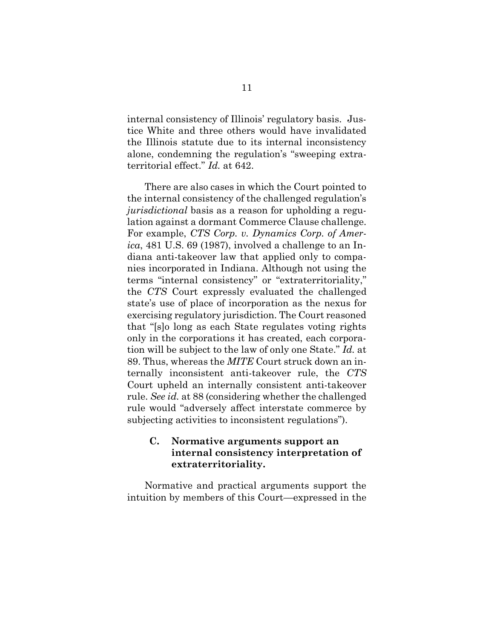internal consistency of Illinois' regulatory basis. Justice White and three others would have invalidated the Illinois statute due to its internal inconsistency alone, condemning the regulation's "sweeping extraterritorial effect." *Id.* at 642.

<span id="page-16-1"></span><span id="page-16-0"></span>There are also cases in which the Court pointed to the internal consistency of the challenged regulation's *jurisdictional* basis as a reason for upholding a regulation against a dormant Commerce Clause challenge. For example, *CTS Corp. v. Dynamics Corp. of America*, 481 U.S. 69 (1987), involved a challenge to an Indiana anti-takeover law that applied only to companies incorporated in Indiana. Although not using the terms "internal consistency" or "extraterritoriality," the *CTS* Court expressly evaluated the challenged state's use of place of incorporation as the nexus for exercising regulatory jurisdiction. The Court reasoned that "[s]o long as each State regulates voting rights only in the corporations it has created, each corporation will be subject to the law of only one State." *Id.* at 89. Thus, whereas the *MITE* Court struck down an internally inconsistent anti-takeover rule, the *CTS* Court upheld an internally consistent anti-takeover rule. *See id.* at 88 (considering whether the challenged rule would "adversely affect interstate commerce by subjecting activities to inconsistent regulations").

### **C. Normative arguments support an internal consistency interpretation of extraterritoriality.**

Normative and practical arguments support the intuition by members of this Court—expressed in the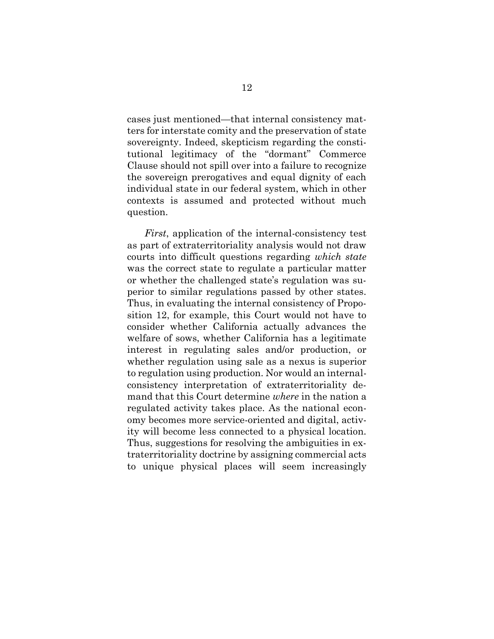cases just mentioned—that internal consistency matters for interstate comity and the preservation of state sovereignty. Indeed, skepticism regarding the constitutional legitimacy of the "dormant" Commerce Clause should not spill over into a failure to recognize the sovereign prerogatives and equal dignity of each individual state in our federal system, which in other contexts is assumed and protected without much question.

*First*, application of the internal-consistency test as part of extraterritoriality analysis would not draw courts into difficult questions regarding *which state* was the correct state to regulate a particular matter or whether the challenged state's regulation was superior to similar regulations passed by other states. Thus, in evaluating the internal consistency of Proposition 12, for example, this Court would not have to consider whether California actually advances the welfare of sows, whether California has a legitimate interest in regulating sales and/or production, or whether regulation using sale as a nexus is superior to regulation using production. Nor would an internalconsistency interpretation of extraterritoriality demand that this Court determine *where* in the nation a regulated activity takes place. As the national economy becomes more service-oriented and digital, activity will become less connected to a physical location. Thus, suggestions for resolving the ambiguities in extraterritoriality doctrine by assigning commercial acts to unique physical places will seem increasingly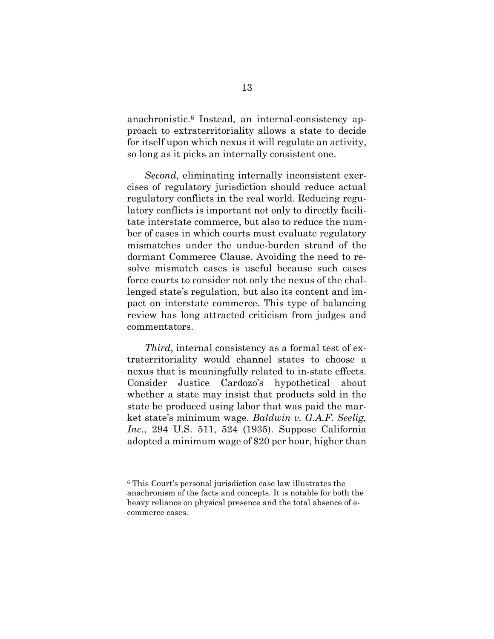anachronistic.<sup>6</sup> Instead, an internal-consistency approach to extraterritoriality allows a state to decide for itself upon which nexus it will regulate an activity, so long as it picks an internally consistent one.

*Second*, eliminating internally inconsistent exercises of regulatory jurisdiction should reduce actual regulatory conflicts in the real world. Reducing regulatory conflicts is important not only to directly facilitate interstate commerce, but also to reduce the number of cases in which courts must evaluate regulatory mismatches under the undue-burden strand of the dormant Commerce Clause. Avoiding the need to resolve mismatch cases is useful because such cases force courts to consider not only the nexus of the challenged state's regulation, but also its content and impact on interstate commerce. This type of balancing review has long attracted criticism from judges and commentators.

<span id="page-18-0"></span>*Third*, internal consistency as a formal test of extraterritoriality would channel states to choose a nexus that is meaningfully related to in-state effects. Consider Justice Cardozo's hypothetical about whether a state may insist that products sold in the state be produced using labor that was paid the market state's minimum wage. *Baldwin v. G.A.F. Seelig, Inc.*, 294 U.S. 511, 524 (1935). Suppose California adopted a minimum wage of \$20 per hour, higher than

<sup>6</sup> This Court's personal jurisdiction case law illustrates the anachronism of the facts and concepts. It is notable for both the heavy reliance on physical presence and the total absence of ecommerce cases.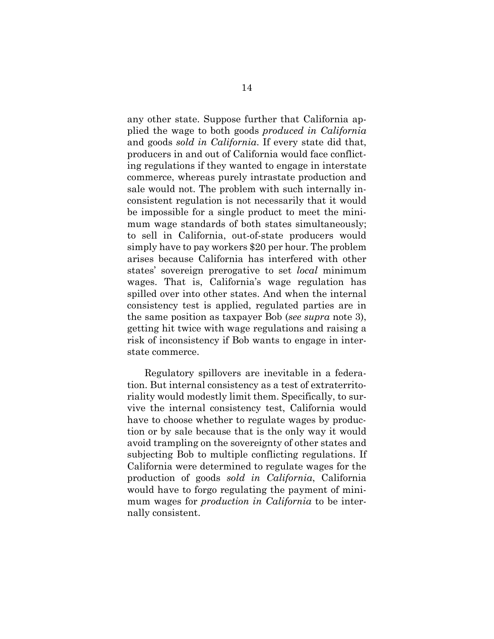any other state. Suppose further that California applied the wage to both goods *produced in California*  and goods *sold in California*. If every state did that, producers in and out of California would face conflicting regulations if they wanted to engage in interstate commerce, whereas purely intrastate production and sale would not. The problem with such internally inconsistent regulation is not necessarily that it would be impossible for a single product to meet the minimum wage standards of both states simultaneously; to sell in California, out-of-state producers would simply have to pay workers \$20 per hour. The problem arises because California has interfered with other states' sovereign prerogative to set *local* minimum wages. That is, California's wage regulation has spilled over into other states. And when the internal consistency test is applied, regulated parties are in the same position as taxpayer Bob (*see supra* note 3), getting hit twice with wage regulations and raising a risk of inconsistency if Bob wants to engage in interstate commerce.

Regulatory spillovers are inevitable in a federation. But internal consistency as a test of extraterritoriality would modestly limit them. Specifically, to survive the internal consistency test, California would have to choose whether to regulate wages by production or by sale because that is the only way it would avoid trampling on the sovereignty of other states and subjecting Bob to multiple conflicting regulations. If California were determined to regulate wages for the production of goods *sold in California*, California would have to forgo regulating the payment of minimum wages for *production in California* to be internally consistent.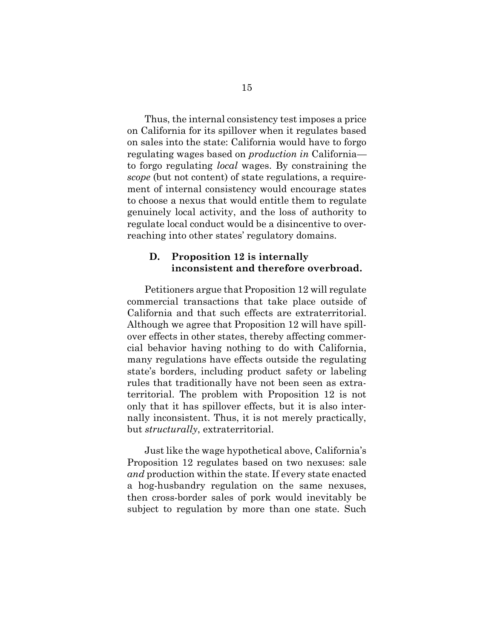Thus, the internal consistency test imposes a price on California for its spillover when it regulates based on sales into the state: California would have to forgo regulating wages based on *production in* California to forgo regulating *local* wages. By constraining the *scope* (but not content) of state regulations, a requirement of internal consistency would encourage states to choose a nexus that would entitle them to regulate genuinely local activity, and the loss of authority to regulate local conduct would be a disincentive to overreaching into other states' regulatory domains.

#### **D. Proposition 12 is internally inconsistent and therefore overbroad.**

Petitioners argue that Proposition 12 will regulate commercial transactions that take place outside of California and that such effects are extraterritorial. Although we agree that Proposition 12 will have spillover effects in other states, thereby affecting commercial behavior having nothing to do with California, many regulations have effects outside the regulating state's borders, including product safety or labeling rules that traditionally have not been seen as extraterritorial. The problem with Proposition 12 is not only that it has spillover effects, but it is also internally inconsistent. Thus, it is not merely practically, but *structurally*, extraterritorial.

Just like the wage hypothetical above, California's Proposition 12 regulates based on two nexuses: sale *and* production within the state. If every state enacted a hog-husbandry regulation on the same nexuses, then cross-border sales of pork would inevitably be subject to regulation by more than one state. Such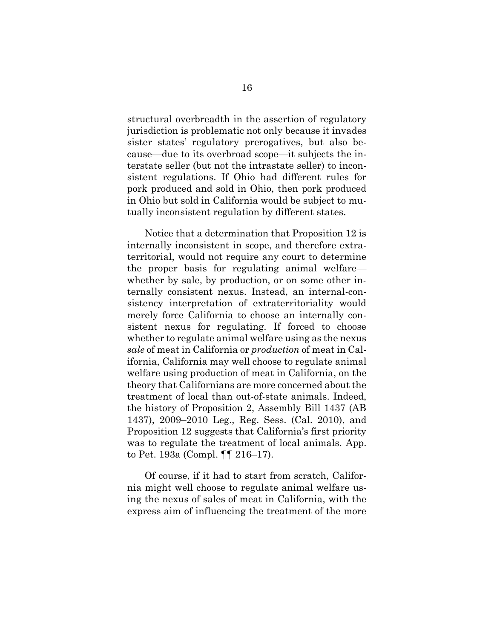structural overbreadth in the assertion of regulatory jurisdiction is problematic not only because it invades sister states' regulatory prerogatives, but also because—due to its overbroad scope—it subjects the interstate seller (but not the intrastate seller) to inconsistent regulations. If Ohio had different rules for pork produced and sold in Ohio, then pork produced in Ohio but sold in California would be subject to mutually inconsistent regulation by different states.

Notice that a determination that Proposition 12 is internally inconsistent in scope, and therefore extraterritorial, would not require any court to determine the proper basis for regulating animal welfare whether by sale, by production, or on some other internally consistent nexus. Instead, an internal-consistency interpretation of extraterritoriality would merely force California to choose an internally consistent nexus for regulating. If forced to choose whether to regulate animal welfare using as the nexus *sale* of meat in California or *production* of meat in California, California may well choose to regulate animal welfare using production of meat in California, on the theory that Californians are more concerned about the treatment of local than out-of-state animals. Indeed, the history of Proposition 2, Assembly Bill 1437 (AB 1437), 2009–2010 Leg., Reg. Sess. (Cal. 2010), and Proposition 12 suggests that California's first priority was to regulate the treatment of local animals. App. to Pet. 193a (Compl. ¶¶ 216–17).

<span id="page-21-0"></span>Of course, if it had to start from scratch, California might well choose to regulate animal welfare using the nexus of sales of meat in California, with the express aim of influencing the treatment of the more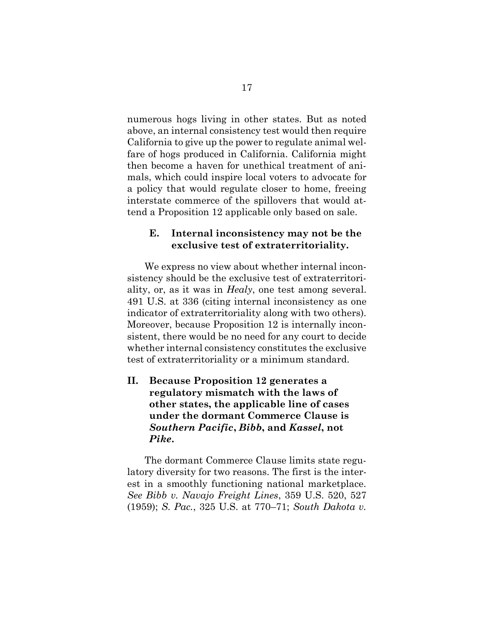numerous hogs living in other states. But as noted above, an internal consistency test would then require California to give up the power to regulate animal welfare of hogs produced in California. California might then become a haven for unethical treatment of animals, which could inspire local voters to advocate for a policy that would regulate closer to home, freeing interstate commerce of the spillovers that would attend a Proposition 12 applicable only based on sale.

#### **E. Internal inconsistency may not be the exclusive test of extraterritoriality.**

We express no view about whether internal inconsistency should be the exclusive test of extraterritoriality, or, as it was in *Healy*, one test among several. 491 U.S. at 336 (citing internal inconsistency as one indicator of extraterritoriality along with two others). Moreover, because Proposition 12 is internally inconsistent, there would be no need for any court to decide whether internal consistency constitutes the exclusive test of extraterritoriality or a minimum standard.

### **II. Because Proposition 12 generates a regulatory mismatch with the laws of other states, the applicable line of cases under the dormant Commerce Clause is**  *Southern Pacific***,** *Bibb***, and** *Kassel***, not**  *Pike***.**

<span id="page-22-1"></span><span id="page-22-0"></span>The dormant Commerce Clause limits state regulatory diversity for two reasons. The first is the interest in a smoothly functioning national marketplace. *See Bibb v. Navajo Freight Lines*, 359 U.S. 520, 527 (1959); *S. Pac.*, 325 U.S. at 770–71; *South Dakota v.*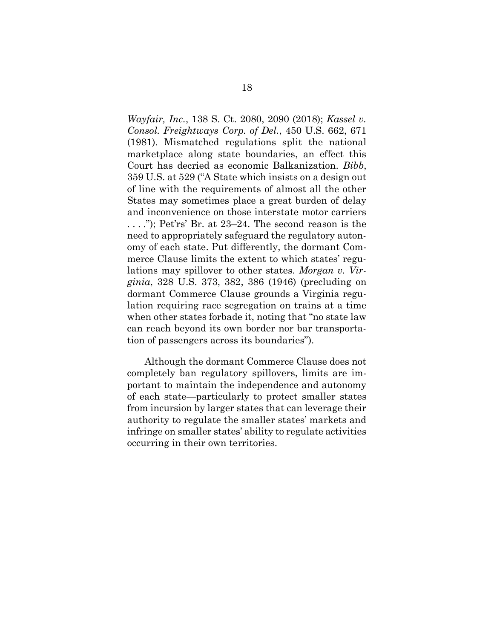*Wayfair, Inc.*, 138 S. Ct. 2080, 2090 (2018); *Kassel v. Consol. Freightways Corp. of Del.*, 450 U.S. 662, 671 (1981). Mismatched regulations split the national marketplace along state boundaries, an effect this Court has decried as economic Balkanization. *Bibb*, 359 U.S. at 529 ("A State which insists on a design out of line with the requirements of almost all the other States may sometimes place a great burden of delay and inconvenience on those interstate motor carriers . . . ."); Pet'rs' Br. at 23–24. The second reason is the need to appropriately safeguard the regulatory autonomy of each state. Put differently, the dormant Commerce Clause limits the extent to which states' regulations may spillover to other states. *Morgan v. Virginia*, 328 U.S. 373, 382, 386 (1946) (precluding on dormant Commerce Clause grounds a Virginia regulation requiring race segregation on trains at a time when other states forbade it, noting that "no state law can reach beyond its own border nor bar transportation of passengers across its boundaries").

<span id="page-23-0"></span>Although the dormant Commerce Clause does not completely ban regulatory spillovers, limits are important to maintain the independence and autonomy of each state—particularly to protect smaller states from incursion by larger states that can leverage their authority to regulate the smaller states' markets and infringe on smaller states' ability to regulate activities occurring in their own territories.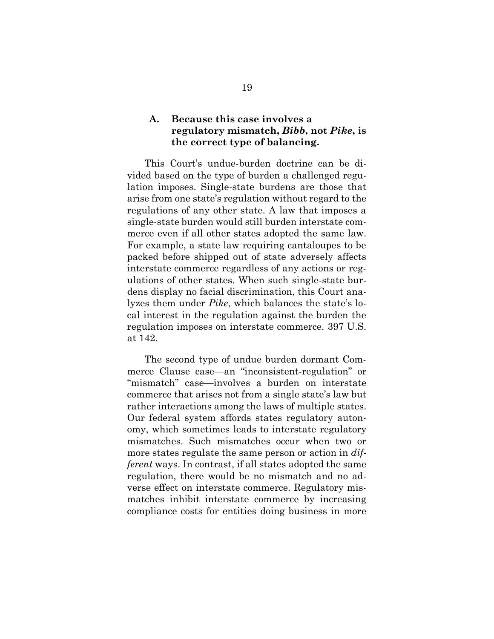### **A. Because this case involves a regulatory mismatch,** *Bibb***, not** *Pike***, is the correct type of balancing.**

This Court's undue-burden doctrine can be divided based on the type of burden a challenged regulation imposes. Single-state burdens are those that arise from one state's regulation without regard to the regulations of any other state. A law that imposes a single-state burden would still burden interstate commerce even if all other states adopted the same law. For example, a state law requiring cantaloupes to be packed before shipped out of state adversely affects interstate commerce regardless of any actions or regulations of other states. When such single-state burdens display no facial discrimination, this Court analyzes them under *Pike*, which balances the state's local interest in the regulation against the burden the regulation imposes on interstate commerce. 397 U.S. at 142.

The second type of undue burden dormant Commerce Clause case—an "inconsistent-regulation" or "mismatch" case—involves a burden on interstate commerce that arises not from a single state's law but rather interactions among the laws of multiple states. Our federal system affords states regulatory autonomy, which sometimes leads to interstate regulatory mismatches. Such mismatches occur when two or more states regulate the same person or action in *different* ways. In contrast, if all states adopted the same regulation, there would be no mismatch and no adverse effect on interstate commerce. Regulatory mismatches inhibit interstate commerce by increasing compliance costs for entities doing business in more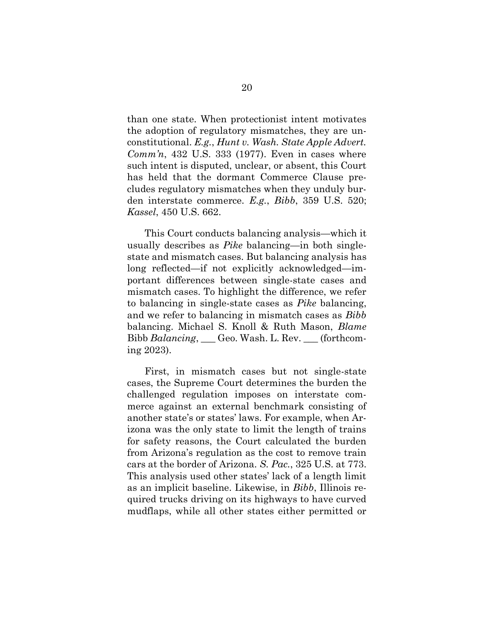than one state. When protectionist intent motivates the adoption of regulatory mismatches, they are unconstitutional. *E.g.*, *Hunt v. Wash. State Apple Advert. Comm'n*, 432 U.S. 333 (1977). Even in cases where such intent is disputed, unclear, or absent, this Court has held that the dormant Commerce Clause precludes regulatory mismatches when they unduly burden interstate commerce. *E.g.*, *Bibb*, 359 U.S. 520; *Kassel*, 450 U.S. 662.

This Court conducts balancing analysis—which it usually describes as *Pike* balancing—in both singlestate and mismatch cases. But balancing analysis has long reflected—if not explicitly acknowledged—important differences between single-state cases and mismatch cases. To highlight the difference, we refer to balancing in single-state cases as *Pike* balancing, and we refer to balancing in mismatch cases as *Bibb* balancing. Michael S. Knoll & Ruth Mason, *Blame*  Bibb *Balancing*, \_\_\_ Geo. Wash. L. Rev. \_\_\_ (forthcoming 2023).

<span id="page-25-0"></span>First, in mismatch cases but not single-state cases, the Supreme Court determines the burden the challenged regulation imposes on interstate commerce against an external benchmark consisting of another state's or states' laws. For example, when Arizona was the only state to limit the length of trains for safety reasons, the Court calculated the burden from Arizona's regulation as the cost to remove train cars at the border of Arizona. *S. Pac.*, 325 U.S. at 773. This analysis used other states' lack of a length limit as an implicit baseline. Likewise, in *Bibb*, Illinois required trucks driving on its highways to have curved mudflaps, while all other states either permitted or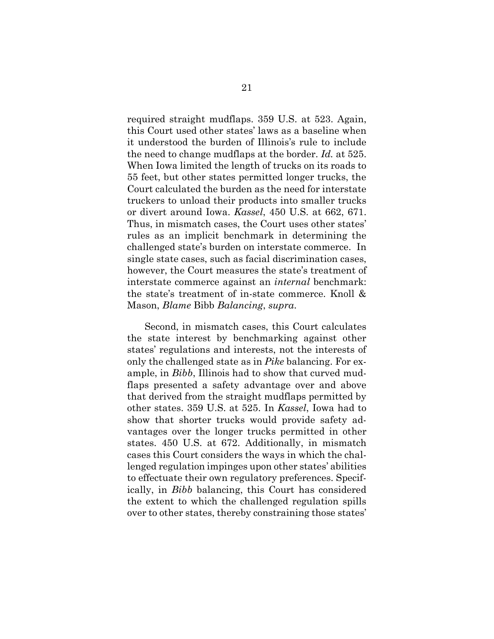required straight mudflaps. 359 U.S. at 523. Again, this Court used other states' laws as a baseline when it understood the burden of Illinois's rule to include the need to change mudflaps at the border. *Id.* at 525. When Iowa limited the length of trucks on its roads to 55 feet, but other states permitted longer trucks, the Court calculated the burden as the need for interstate truckers to unload their products into smaller trucks or divert around Iowa. *Kassel*, 450 U.S. at 662, 671. Thus, in mismatch cases, the Court uses other states' rules as an implicit benchmark in determining the challenged state's burden on interstate commerce. In single state cases, such as facial discrimination cases, however, the Court measures the state's treatment of interstate commerce against an *internal* benchmark: the state's treatment of in-state commerce. Knoll & Mason, *Blame* Bibb *Balancing*, *supra*.

<span id="page-26-0"></span>Second, in mismatch cases, this Court calculates the state interest by benchmarking against other states' regulations and interests, not the interests of only the challenged state as in *Pike* balancing. For example, in *Bibb*, Illinois had to show that curved mudflaps presented a safety advantage over and above that derived from the straight mudflaps permitted by other states. 359 U.S. at 525. In *Kassel*, Iowa had to show that shorter trucks would provide safety advantages over the longer trucks permitted in other states. 450 U.S. at 672. Additionally, in mismatch cases this Court considers the ways in which the challenged regulation impinges upon other states' abilities to effectuate their own regulatory preferences. Specifically, in *Bibb* balancing, this Court has considered the extent to which the challenged regulation spills over to other states, thereby constraining those states'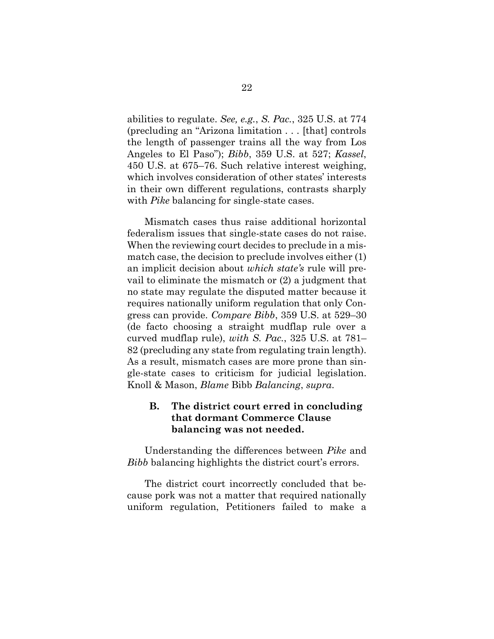abilities to regulate. *See, e.g.*, *S. Pac.*, 325 U.S. at 774 (precluding an "Arizona limitation . . . [that] controls the length of passenger trains all the way from Los Angeles to El Paso"); *Bibb*, 359 U.S. at 527; *Kassel*, 450 U.S. at 675–76. Such relative interest weighing, which involves consideration of other states' interests in their own different regulations, contrasts sharply with *Pike* balancing for single-state cases.

Mismatch cases thus raise additional horizontal federalism issues that single-state cases do not raise. When the reviewing court decides to preclude in a mismatch case, the decision to preclude involves either (1) an implicit decision about *which state's* rule will prevail to eliminate the mismatch or (2) a judgment that no state may regulate the disputed matter because it requires nationally uniform regulation that only Congress can provide. *Compare Bibb*, 359 U.S. at 529–30 (de facto choosing a straight mudflap rule over a curved mudflap rule), *with S. Pac.*, 325 U.S. at 781– 82 (precluding any state from regulating train length). As a result, mismatch cases are more prone than single-state cases to criticism for judicial legislation. Knoll & Mason, *Blame* Bibb *Balancing*, *supra*.

#### <span id="page-27-0"></span>**B. The district court erred in concluding that dormant Commerce Clause balancing was not needed.**

Understanding the differences between *Pike* and *Bibb* balancing highlights the district court's errors.

The district court incorrectly concluded that because pork was not a matter that required nationally uniform regulation, Petitioners failed to make a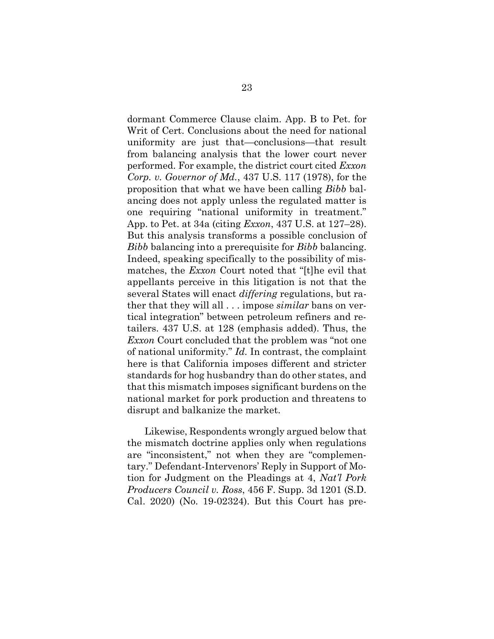<span id="page-28-0"></span>dormant Commerce Clause claim. App. B to Pet. for Writ of Cert. Conclusions about the need for national uniformity are just that—conclusions—that result from balancing analysis that the lower court never performed. For example, the district court cited *Exxon Corp. v. Governor of Md.*, 437 U.S. 117 (1978), for the proposition that what we have been calling *Bibb* balancing does not apply unless the regulated matter is one requiring "national uniformity in treatment." App. to Pet. at 34a (citing *Exxon*, 437 U.S. at 127–28). But this analysis transforms a possible conclusion of *Bibb* balancing into a prerequisite for *Bibb* balancing. Indeed, speaking specifically to the possibility of mismatches, the *Exxon* Court noted that "[t]he evil that appellants perceive in this litigation is not that the several States will enact *differing* regulations, but rather that they will all . . . impose *similar* bans on vertical integration" between petroleum refiners and retailers. 437 U.S. at 128 (emphasis added). Thus, the *Exxon* Court concluded that the problem was "not one of national uniformity." *Id.* In contrast, the complaint here is that California imposes different and stricter standards for hog husbandry than do other states, and that this mismatch imposes significant burdens on the national market for pork production and threatens to disrupt and balkanize the market.

Likewise, Respondents wrongly argued below that the mismatch doctrine applies only when regulations are "inconsistent," not when they are "complementary." Defendant-Intervenors' Reply in Support of Motion for Judgment on the Pleadings at 4, *Nat'l Pork Producers Council v. Ross*, 456 F. Supp. 3d 1201 (S.D. Cal. 2020) (No. 19-02324). But this Court has pre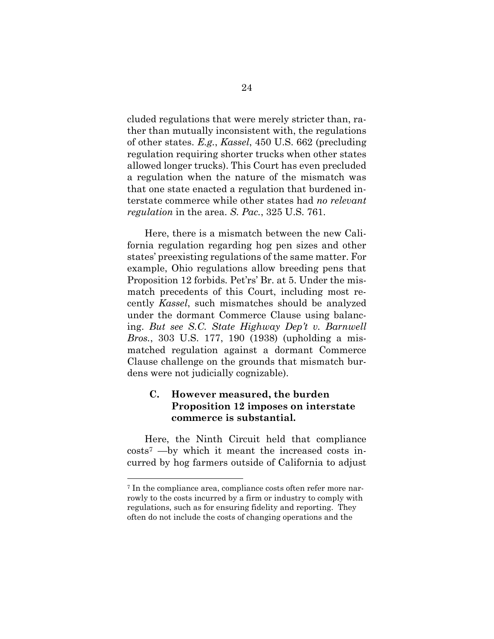cluded regulations that were merely stricter than, rather than mutually inconsistent with, the regulations of other states. *E.g.*, *Kassel*, 450 U.S. 662 (precluding regulation requiring shorter trucks when other states allowed longer trucks). This Court has even precluded a regulation when the nature of the mismatch was that one state enacted a regulation that burdened interstate commerce while other states had *no relevant regulation* in the area. *S. Pac.*, 325 U.S. 761.

Here, there is a mismatch between the new California regulation regarding hog pen sizes and other states' preexisting regulations of the same matter. For example, Ohio regulations allow breeding pens that Proposition 12 forbids. Pet'rs' Br. at 5. Under the mismatch precedents of this Court, including most recently *Kassel*, such mismatches should be analyzed under the dormant Commerce Clause using balancing. *But see S.C. State Highway Dep't v. Barnwell Bros.*, 303 U.S. 177, 190 (1938) (upholding a mismatched regulation against a dormant Commerce Clause challenge on the grounds that mismatch burdens were not judicially cognizable).

### <span id="page-29-0"></span>**C. However measured, the burden Proposition 12 imposes on interstate commerce is substantial.**

Here, the Ninth Circuit held that compliance costs<sup>7</sup> —by which it meant the increased costs incurred by hog farmers outside of California to adjust

<sup>7</sup> In the compliance area, compliance costs often refer more narrowly to the costs incurred by a firm or industry to comply with regulations, such as for ensuring fidelity and reporting. They often do not include the costs of changing operations and the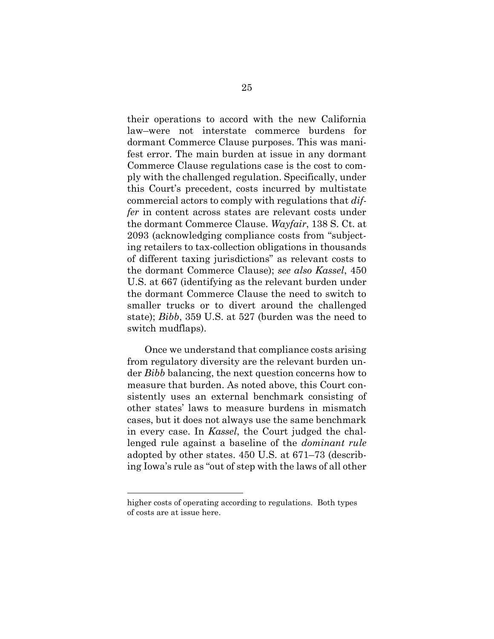their operations to accord with the new California law–were not interstate commerce burdens for dormant Commerce Clause purposes. This was manifest error. The main burden at issue in any dormant Commerce Clause regulations case is the cost to comply with the challenged regulation. Specifically, under this Court's precedent, costs incurred by multistate commercial actors to comply with regulations that *differ* in content across states are relevant costs under the dormant Commerce Clause. *Wayfair*, 138 S. Ct. at 2093 (acknowledging compliance costs from "subjecting retailers to tax-collection obligations in thousands of different taxing jurisdictions" as relevant costs to the dormant Commerce Clause); *see also Kassel*, 450 U.S. at 667 (identifying as the relevant burden under the dormant Commerce Clause the need to switch to smaller trucks or to divert around the challenged state); *Bibb*, 359 U.S. at 527 (burden was the need to switch mudflaps).

Once we understand that compliance costs arising from regulatory diversity are the relevant burden under *Bibb* balancing, the next question concerns how to measure that burden. As noted above, this Court consistently uses an external benchmark consisting of other states' laws to measure burdens in mismatch cases, but it does not always use the same benchmark in every case. In *Kassel*, the Court judged the challenged rule against a baseline of the *dominant rule* adopted by other states. 450 U.S. at 671–73 (describing Iowa's rule as "out of step with the laws of all other

higher costs of operating according to regulations. Both types of costs are at issue here.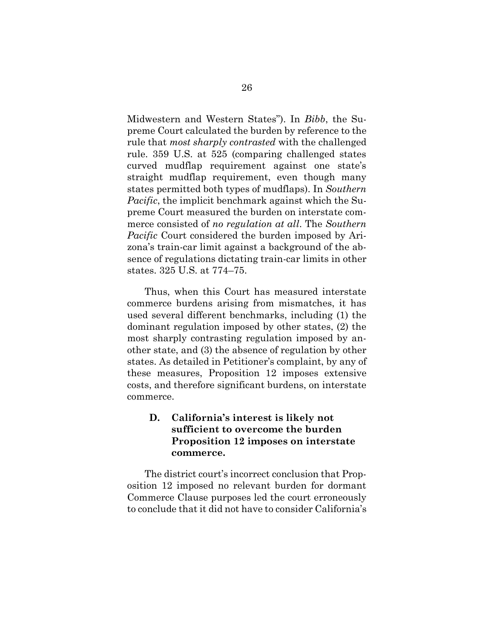Midwestern and Western States"). In *Bibb*, the Supreme Court calculated the burden by reference to the rule that *most sharply contrasted* with the challenged rule. 359 U.S. at 525 (comparing challenged states curved mudflap requirement against one state's straight mudflap requirement, even though many states permitted both types of mudflaps). In *Southern Pacific*, the implicit benchmark against which the Supreme Court measured the burden on interstate commerce consisted of *no regulation at all*. The *Southern Pacific* Court considered the burden imposed by Arizona's train-car limit against a background of the absence of regulations dictating train-car limits in other states. 325 U.S. at 774–75.

Thus, when this Court has measured interstate commerce burdens arising from mismatches, it has used several different benchmarks, including (1) the dominant regulation imposed by other states, (2) the most sharply contrasting regulation imposed by another state, and (3) the absence of regulation by other states. As detailed in Petitioner's complaint, by any of these measures, Proposition 12 imposes extensive costs, and therefore significant burdens, on interstate commerce.

## **D. California's interest is likely not sufficient to overcome the burden Proposition 12 imposes on interstate commerce.**

The district court's incorrect conclusion that Proposition 12 imposed no relevant burden for dormant Commerce Clause purposes led the court erroneously to conclude that it did not have to consider California's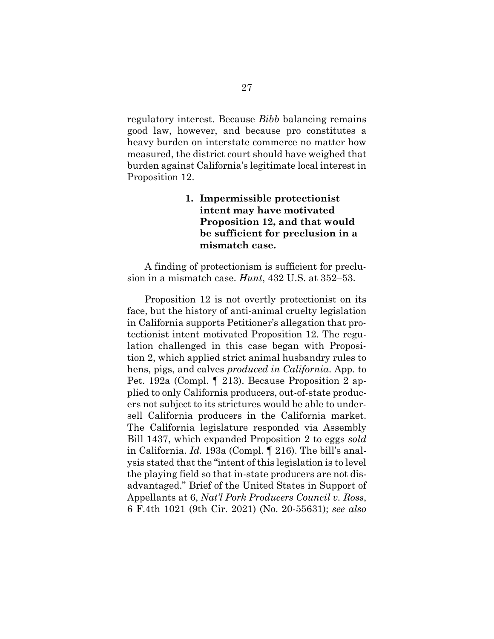regulatory interest. Because *Bibb* balancing remains good law, however, and because pro constitutes a heavy burden on interstate commerce no matter how measured, the district court should have weighed that burden against California's legitimate local interest in Proposition 12.

### <span id="page-32-0"></span>**1. Impermissible protectionist intent may have motivated Proposition 12, and that would be sufficient for preclusion in a mismatch case.**

A finding of protectionism is sufficient for preclusion in a mismatch case. *Hunt*, 432 U.S. at 352–53.

Proposition 12 is not overtly protectionist on its face, but the history of anti-animal cruelty legislation in California supports Petitioner's allegation that protectionist intent motivated Proposition 12. The regulation challenged in this case began with Proposition 2, which applied strict animal husbandry rules to hens, pigs, and calves *produced in California*. App. to Pet. 192a (Compl. ¶ 213). Because Proposition 2 applied to only California producers, out-of-state producers not subject to its strictures would be able to undersell California producers in the California market. The California legislature responded via Assembly Bill 1437, which expanded Proposition 2 to eggs *sold* in California. *Id.* 193a (Compl. ¶ 216). The bill's analysis stated that the "intent of this legislation is to level the playing field so that in-state producers are not disadvantaged." Brief of the United States in Support of Appellants at 6, *Nat'l Pork Producers Council v. Ross*, 6 F.4th 1021 (9th Cir. 2021) (No. 20-55631); *see also*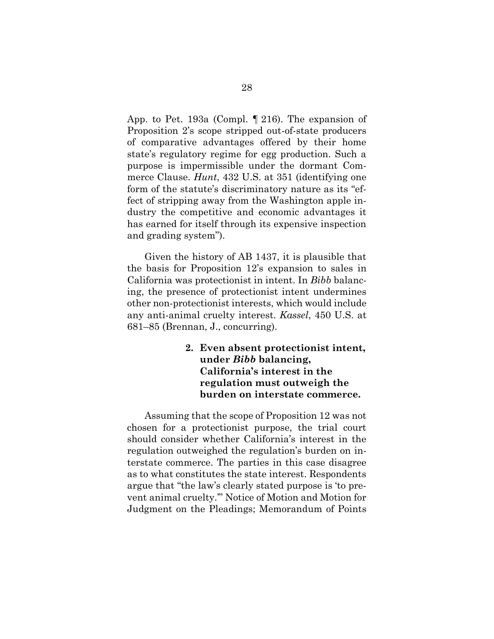App. to Pet. 193a (Compl. ¶ 216). The expansion of Proposition 2's scope stripped out-of-state producers of comparative advantages offered by their home state's regulatory regime for egg production. Such a purpose is impermissible under the dormant Commerce Clause. *Hunt*, 432 U.S. at 351 (identifying one form of the statute's discriminatory nature as its "effect of stripping away from the Washington apple industry the competitive and economic advantages it has earned for itself through its expensive inspection and grading system").

Given the history of AB 1437, it is plausible that the basis for Proposition 12's expansion to sales in California was protectionist in intent. In *Bibb* balancing, the presence of protectionist intent undermines other non-protectionist interests, which would include any anti-animal cruelty interest. *Kassel*, 450 U.S. at 681–85 (Brennan, J., concurring).

> **2. Even absent protectionist intent, under** *Bibb* **balancing, California's interest in the regulation must outweigh the burden on interstate commerce.**

Assuming that the scope of Proposition 12 was not chosen for a protectionist purpose, the trial court should consider whether California's interest in the regulation outweighed the regulation's burden on interstate commerce. The parties in this case disagree as to what constitutes the state interest. Respondents argue that "the law's clearly stated purpose is 'to prevent animal cruelty.'" Notice of Motion and Motion for Judgment on the Pleadings; Memorandum of Points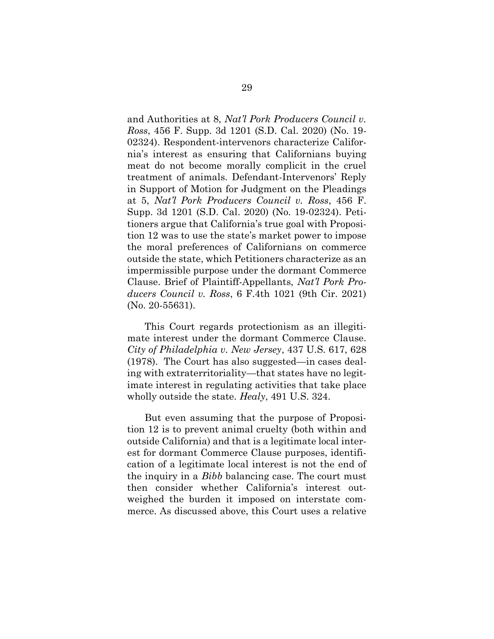and Authorities at 8, *Nat'l Pork Producers Council v. Ross*, 456 F. Supp. 3d 1201 (S.D. Cal. 2020) (No. 19- 02324). Respondent-intervenors characterize California's interest as ensuring that Californians buying meat do not become morally complicit in the cruel treatment of animals. Defendant-Intervenors' Reply in Support of Motion for Judgment on the Pleadings at 5, *Nat'l Pork Producers Council v. Ross*, 456 F. Supp. 3d 1201 (S.D. Cal. 2020) (No. 19-02324). Petitioners argue that California's true goal with Proposition 12 was to use the state's market power to impose the moral preferences of Californians on commerce outside the state, which Petitioners characterize as an impermissible purpose under the dormant Commerce Clause. Brief of Plaintiff-Appellants, *Nat'l Pork Producers Council v. Ross*, 6 F.4th 1021 (9th Cir. 2021) (No. 20-55631).

This Court regards protectionism as an illegitimate interest under the dormant Commerce Clause. *City of Philadelphia v. New Jersey*, 437 U.S. 617, 628 (1978). The Court has also suggested—in cases dealing with extraterritoriality—that states have no legitimate interest in regulating activities that take place wholly outside the state. *Healy*, 491 U.S. 324.

But even assuming that the purpose of Proposition 12 is to prevent animal cruelty (both within and outside California) and that is a legitimate local interest for dormant Commerce Clause purposes, identification of a legitimate local interest is not the end of the inquiry in a *Bibb* balancing case. The court must then consider whether California's interest outweighed the burden it imposed on interstate commerce. As discussed above, this Court uses a relative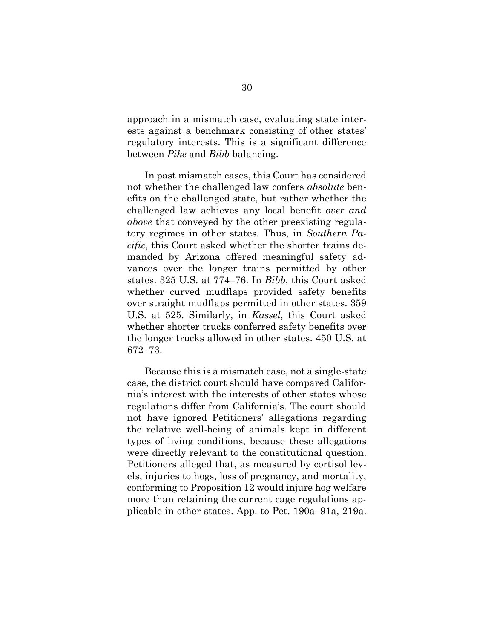approach in a mismatch case, evaluating state interests against a benchmark consisting of other states' regulatory interests. This is a significant difference between *Pike* and *Bibb* balancing.

In past mismatch cases, this Court has considered not whether the challenged law confers *absolute* benefits on the challenged state, but rather whether the challenged law achieves any local benefit *over and above* that conveyed by the other preexisting regulatory regimes in other states. Thus, in *Southern Pacific*, this Court asked whether the shorter trains demanded by Arizona offered meaningful safety advances over the longer trains permitted by other states. 325 U.S. at 774–76. In *Bibb*, this Court asked whether curved mudflaps provided safety benefits over straight mudflaps permitted in other states. 359 U.S. at 525. Similarly, in *Kassel*, this Court asked whether shorter trucks conferred safety benefits over the longer trucks allowed in other states. 450 U.S. at 672–73.

Because this is a mismatch case, not a single-state case, the district court should have compared California's interest with the interests of other states whose regulations differ from California's. The court should not have ignored Petitioners' allegations regarding the relative well-being of animals kept in different types of living conditions, because these allegations were directly relevant to the constitutional question. Petitioners alleged that, as measured by cortisol levels, injuries to hogs, loss of pregnancy, and mortality, conforming to Proposition 12 would injure hog welfare more than retaining the current cage regulations applicable in other states. App. to Pet. 190a–91a, 219a.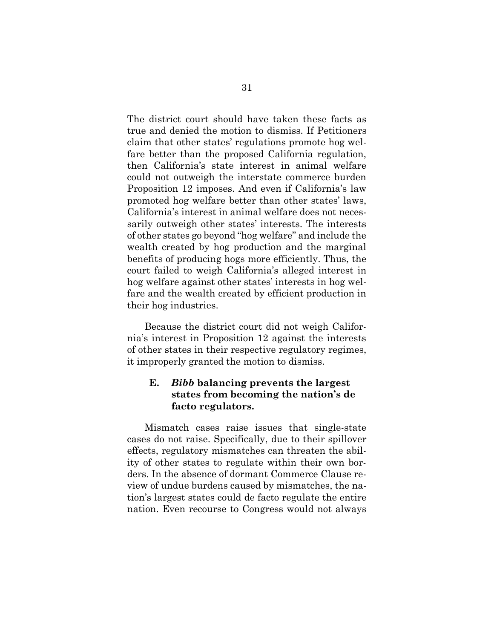The district court should have taken these facts as true and denied the motion to dismiss. If Petitioners claim that other states' regulations promote hog welfare better than the proposed California regulation, then California's state interest in animal welfare could not outweigh the interstate commerce burden Proposition 12 imposes. And even if California's law promoted hog welfare better than other states' laws, California's interest in animal welfare does not necessarily outweigh other states' interests. The interests of other states go beyond "hog welfare" and include the wealth created by hog production and the marginal benefits of producing hogs more efficiently. Thus, the court failed to weigh California's alleged interest in hog welfare against other states' interests in hog welfare and the wealth created by efficient production in their hog industries.

Because the district court did not weigh California's interest in Proposition 12 against the interests of other states in their respective regulatory regimes, it improperly granted the motion to dismiss.

### **E.** *Bibb* **balancing prevents the largest states from becoming the nation's de facto regulators.**

Mismatch cases raise issues that single-state cases do not raise. Specifically, due to their spillover effects, regulatory mismatches can threaten the ability of other states to regulate within their own borders. In the absence of dormant Commerce Clause review of undue burdens caused by mismatches, the nation's largest states could de facto regulate the entire nation. Even recourse to Congress would not always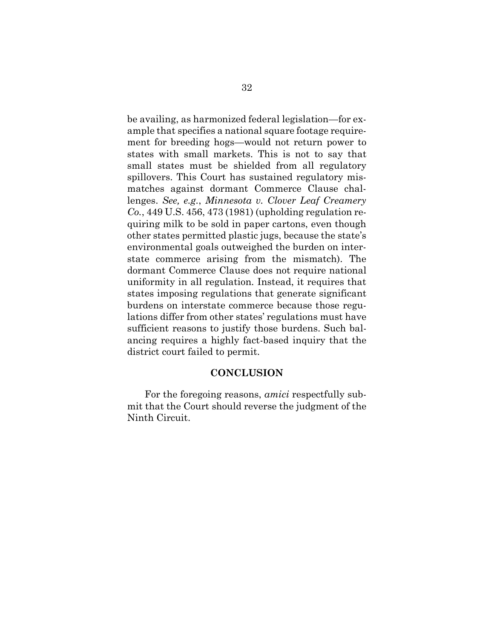<span id="page-37-0"></span>be availing, as harmonized federal legislation—for example that specifies a national square footage requirement for breeding hogs—would not return power to states with small markets. This is not to say that small states must be shielded from all regulatory spillovers. This Court has sustained regulatory mismatches against dormant Commerce Clause challenges. *See, e.g.*, *Minnesota v. Clover Leaf Creamery Co.*, 449 U.S. 456, 473 (1981) (upholding regulation requiring milk to be sold in paper cartons, even though other states permitted plastic jugs, because the state's environmental goals outweighed the burden on interstate commerce arising from the mismatch). The dormant Commerce Clause does not require national uniformity in all regulation. Instead, it requires that states imposing regulations that generate significant burdens on interstate commerce because those regulations differ from other states' regulations must have sufficient reasons to justify those burdens. Such balancing requires a highly fact-based inquiry that the district court failed to permit.

#### **CONCLUSION**

For the foregoing reasons, *amici* respectfully submit that the Court should reverse the judgment of the Ninth Circuit.